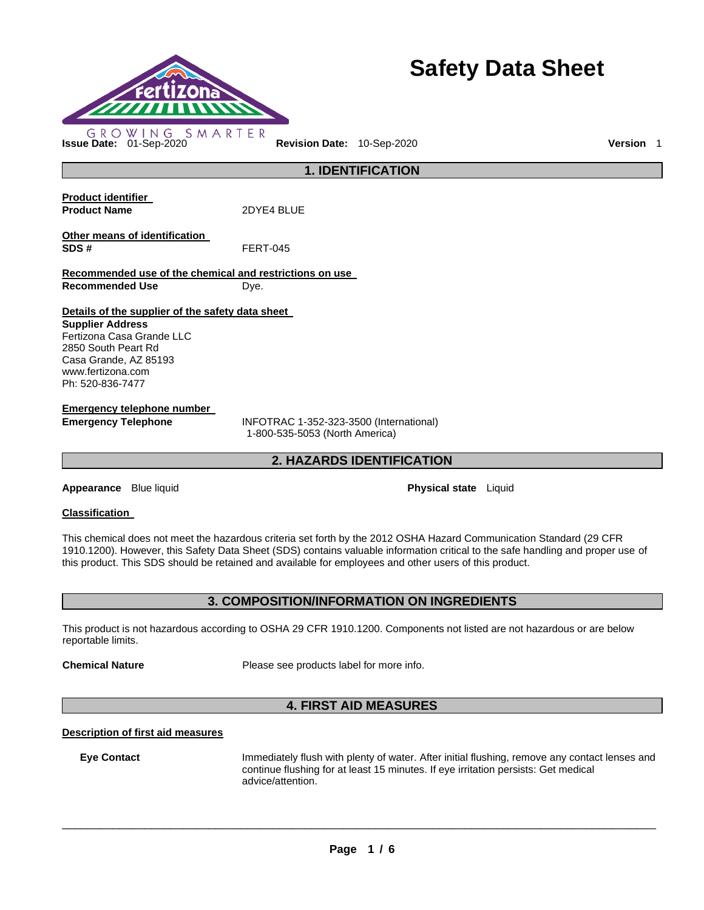

# **Safety Data Sheet**

**Product identifier Product Name** 2DYE4 BLUE **Other means of identification SDS #** FERT-045 **Recommended use of the chemical and restrictions on use Recommended Use Dye. Details of the supplier of the safety data sheet Supplier Address** Fertizona Casa Grande LLC 2850 South Peart Rd Casa Grande, AZ 85193 www.fertizona.com Ph: 520-836-7477

**Emergency telephone number** 

**Emergency Telephone** INFOTRAC 1-352-323-3500 (International) 1-800-535-5053 (North America)

**2. HAZARDS IDENTIFICATION** 

**1. IDENTIFICATION** 

**Appearance** Blue liquid **Physical state** Liquid

# **Classification**

This chemical does not meet the hazardous criteria set forth by the 2012 OSHA Hazard Communication Standard (29 CFR 1910.1200). However, this Safety Data Sheet (SDS) contains valuable information critical to the safe handling and proper use of this product. This SDS should be retained and available for employees and other users of this product.

# **3. COMPOSITION/INFORMATION ON INGREDIENTS**

This product is not hazardous according to OSHA 29 CFR 1910.1200. Components not listed are not hazardous or are below reportable limits.

**Chemical Nature** Please see products label for more info.

# **4. FIRST AID MEASURES**

# **Description of first aid measures**

**Eye Contact** Immediately flush with plenty of water. After initial flushing, remove any contact lenses and continue flushing for at least 15 minutes. If eye irritation persists: Get medical advice/attention.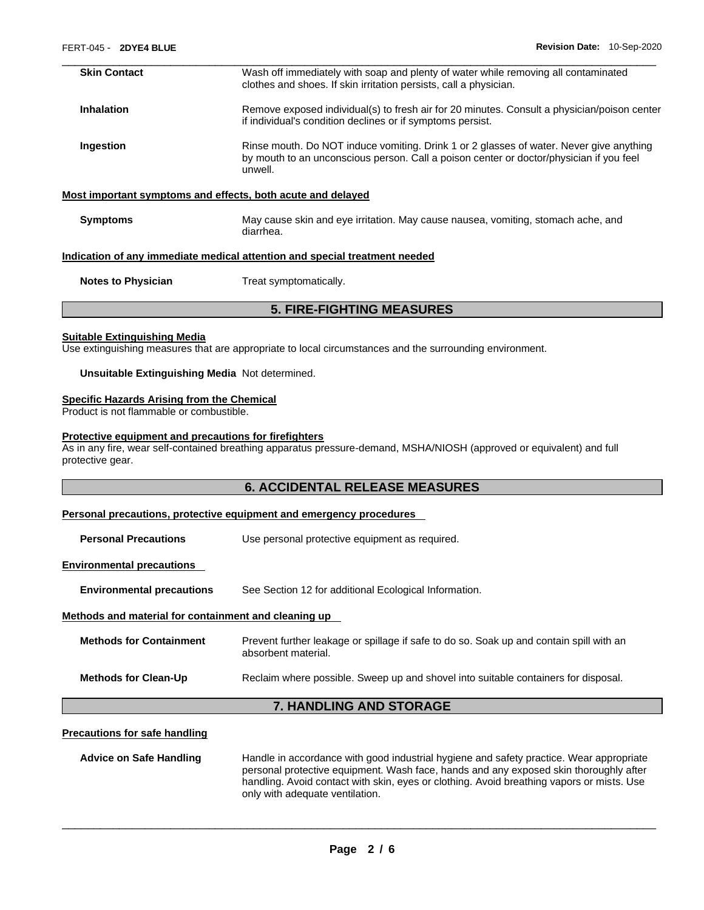| <b>Skin Contact</b>                                                        | Wash off immediately with soap and plenty of water while removing all contaminated<br>clothes and shoes. If skin irritation persists, call a physician.                                       |  |
|----------------------------------------------------------------------------|-----------------------------------------------------------------------------------------------------------------------------------------------------------------------------------------------|--|
| <b>Inhalation</b>                                                          | Remove exposed individual(s) to fresh air for 20 minutes. Consult a physician/poison center<br>if individual's condition declines or if symptoms persist.                                     |  |
| Ingestion                                                                  | Rinse mouth. Do NOT induce vomiting. Drink 1 or 2 glasses of water. Never give anything<br>by mouth to an unconscious person. Call a poison center or doctor/physician if you feel<br>unwell. |  |
|                                                                            | Most important symptoms and effects, both acute and delayed                                                                                                                                   |  |
| <b>Symptoms</b>                                                            | May cause skin and eye irritation. May cause nausea, vomiting, stomach ache, and<br>diarrhea.                                                                                                 |  |
| Indication of any immediate medical attention and special treatment needed |                                                                                                                                                                                               |  |

**Notes to Physician Treat symptomatically.** 

# **5. FIRE-FIGHTING MEASURES**

#### **Suitable Extinguishing Media**

Use extinguishing measures that are appropriate to local circumstances and the surrounding environment.

#### **Unsuitable Extinguishing Media** Not determined.

#### **Specific Hazards Arising from the Chemical**

Product is not flammable or combustible.

#### **Protective equipment and precautions for firefighters**

As in any fire, wear self-contained breathing apparatus pressure-demand, MSHA/NIOSH (approved or equivalent) and full protective gear.

# **6. ACCIDENTAL RELEASE MEASURES**

#### **Personal precautions, protective equipment and emergency procedures**

**Personal Precautions Use personal protective equipment as required.** 

#### **Environmental precautions**

**Environmental precautions** See Section 12 for additional Ecological Information.

#### **Methods and material for containment and cleaning up**

| <b>Methods for Containment</b> | Prevent further leakage or spillage if safe to do so. Soak up and contain spill with an<br>absorbent material. |
|--------------------------------|----------------------------------------------------------------------------------------------------------------|
| <b>Methods for Clean-Up</b>    | Reclaim where possible. Sweep up and shovel into suitable containers for disposal.                             |

# **7. HANDLING AND STORAGE**

#### **Precautions for safe handling**

**Advice on Safe Handling** Handle in accordance with good industrial hygiene and safety practice. Wear appropriate personal protective equipment. Wash face, hands and any exposed skin thoroughly after handling. Avoid contact with skin, eyes or clothing. Avoid breathing vapors or mists. Use only with adequate ventilation.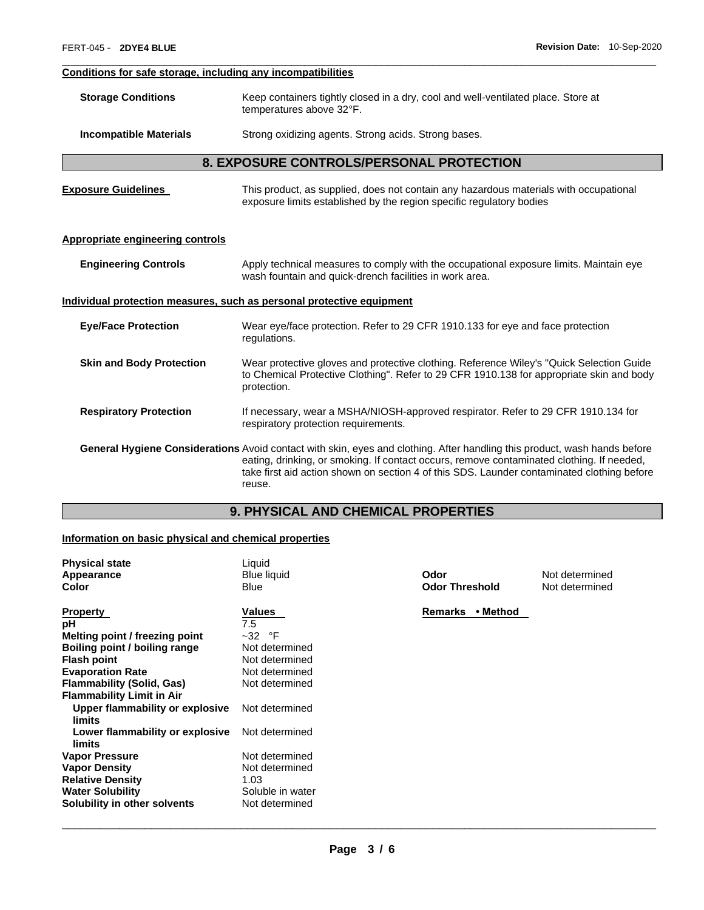# **Conditions for safe storage, including any incompatibilities**

| <b>Storage Conditions</b> | Keep containers tightly closed in a dry, cool and well-ventilated place. Store at |
|---------------------------|-----------------------------------------------------------------------------------|
|                           | temperatures above 32°F.                                                          |

### **Incompatible Materials Strong oxidizing agents. Strong acids. Strong bases.**

# **8. EXPOSURE CONTROLS/PERSONAL PROTECTION**

\_\_\_\_\_\_\_\_\_\_\_\_\_\_\_\_\_\_\_\_\_\_\_\_\_\_\_\_\_\_\_\_\_\_\_\_\_\_\_\_\_\_\_\_\_\_\_\_\_\_\_\_\_\_\_\_\_\_\_\_\_\_\_\_\_\_\_\_\_\_\_\_\_\_\_\_\_\_\_\_\_\_\_\_\_\_\_\_\_\_\_\_\_

| <b>Exposure Guidelines</b> | This product, as supplied, does not contain any hazardous materials with occupational |
|----------------------------|---------------------------------------------------------------------------------------|
|                            | exposure limits established by the region specific regulatory bodies                  |

#### **Appropriate engineering controls**

| <b>Engineering Controls</b> | Apply technical measures to comply with the occupational exposure limits. Maintain eye |
|-----------------------------|----------------------------------------------------------------------------------------|
|                             | wash fountain and quick-drench facilities in work area.                                |

# **Individual protection measures, such as personal protective equipment**

| <b>Eye/Face Protection</b>      | Wear eye/face protection. Refer to 29 CFR 1910.133 for eye and face protection<br>regulations.                                                                                                                                                                                                                                 |
|---------------------------------|--------------------------------------------------------------------------------------------------------------------------------------------------------------------------------------------------------------------------------------------------------------------------------------------------------------------------------|
| <b>Skin and Body Protection</b> | Wear protective gloves and protective clothing. Reference Wiley's "Quick Selection Guide"<br>to Chemical Protective Clothing". Refer to 29 CFR 1910.138 for appropriate skin and body<br>protection.                                                                                                                           |
| <b>Respiratory Protection</b>   | If necessary, wear a MSHA/NIOSH-approved respirator. Refer to 29 CFR 1910.134 for<br>respiratory protection requirements.                                                                                                                                                                                                      |
|                                 | General Hygiene Considerations Avoid contact with skin, eyes and clothing. After handling this product, wash hands before<br>eating, drinking, or smoking. If contact occurs, remove contaminated clothing. If needed,<br>take first aid action shown on section 4 of this SDS. Launder contaminated clothing before<br>reuse. |

# **9. PHYSICAL AND CHEMICAL PROPERTIES**

# **Information on basic physical and chemical properties**

| <b>Physical state</b><br>Appearance<br><b>Color</b>                  | Liquid<br><b>Blue liquid</b><br>Blue | Odor<br><b>Odor Threshold</b> | Not determined<br>Not determined |
|----------------------------------------------------------------------|--------------------------------------|-------------------------------|----------------------------------|
| <b>Property</b>                                                      | Values                               | <b>Remarks</b><br>• Method    |                                  |
| рH                                                                   | 7.5                                  |                               |                                  |
| Melting point / freezing point                                       | $~-32$ °F                            |                               |                                  |
| Boiling point / boiling range                                        | Not determined                       |                               |                                  |
| <b>Flash point</b>                                                   | Not determined                       |                               |                                  |
| <b>Evaporation Rate</b>                                              | Not determined                       |                               |                                  |
| <b>Flammability (Solid, Gas)</b><br><b>Flammability Limit in Air</b> | Not determined                       |                               |                                  |
| Upper flammability or explosive<br>limits                            | Not determined                       |                               |                                  |
| Lower flammability or explosive<br>limits                            | Not determined                       |                               |                                  |
| <b>Vapor Pressure</b>                                                | Not determined                       |                               |                                  |
| <b>Vapor Density</b>                                                 | Not determined                       |                               |                                  |
| <b>Relative Density</b>                                              | 1.03                                 |                               |                                  |
| <b>Water Solubility</b>                                              | Soluble in water                     |                               |                                  |
| Solubility in other solvents                                         | Not determined                       |                               |                                  |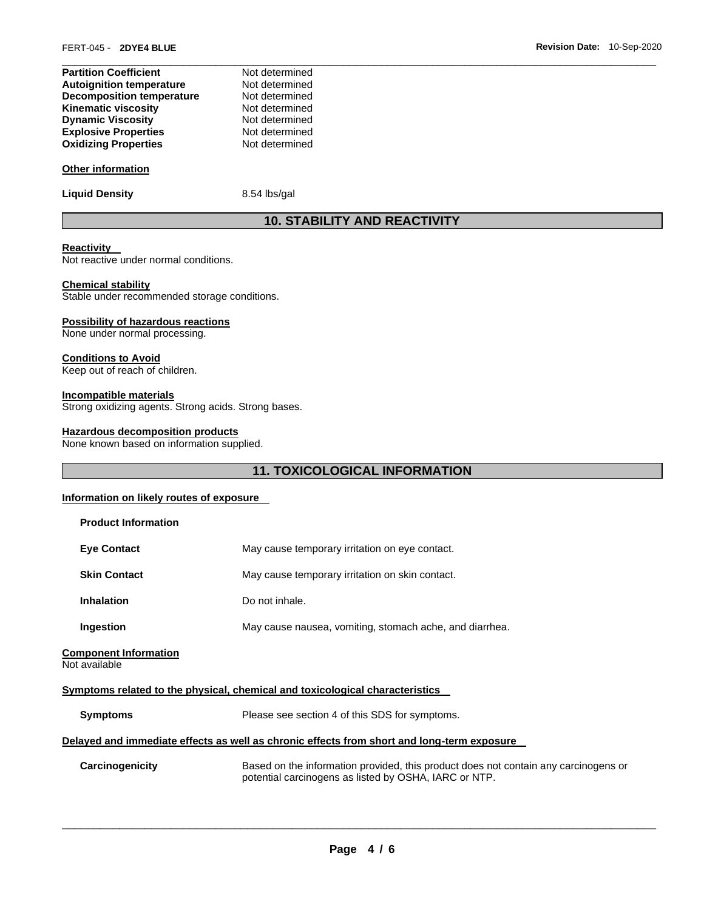| Not determined |
|----------------|
| Not determined |
| Not determined |
| Not determined |
| Not determined |
| Not determined |
| Not determined |
|                |

# **Other information**

**Liquid Density** 8.54 lbs/gal

# **10. STABILITY AND REACTIVITY**

#### **Reactivity**

Not reactive under normal conditions.

#### **Chemical stability**

Stable under recommended storage conditions.

# **Possibility of hazardous reactions**

None under normal processing.

# **Conditions to Avoid**

Keep out of reach of children.

# **Incompatible materials**

Strong oxidizing agents. Strong acids. Strong bases.

# **Hazardous decomposition products**

None known based on information supplied.

# **11. TOXICOLOGICAL INFORMATION**

#### **Information on likely routes of exposure**

| <b>Product Information</b>                                                                 |                                                                                                                                              |
|--------------------------------------------------------------------------------------------|----------------------------------------------------------------------------------------------------------------------------------------------|
| <b>Eye Contact</b>                                                                         | May cause temporary irritation on eye contact.                                                                                               |
| <b>Skin Contact</b>                                                                        | May cause temporary irritation on skin contact.                                                                                              |
| <b>Inhalation</b>                                                                          | Do not inhale.                                                                                                                               |
| Ingestion                                                                                  | May cause nausea, vomiting, stomach ache, and diarrhea.                                                                                      |
| <b>Component Information</b><br>Not available                                              |                                                                                                                                              |
|                                                                                            | Symptoms related to the physical, chemical and toxicological characteristics                                                                 |
| <b>Symptoms</b>                                                                            | Please see section 4 of this SDS for symptoms.                                                                                               |
| Delayed and immediate effects as well as chronic effects from short and long-term exposure |                                                                                                                                              |
| Carcinogenicity                                                                            | Based on the information provided, this product does not contain any carcinogens or<br>potential carcinogens as listed by OSHA, IARC or NTP. |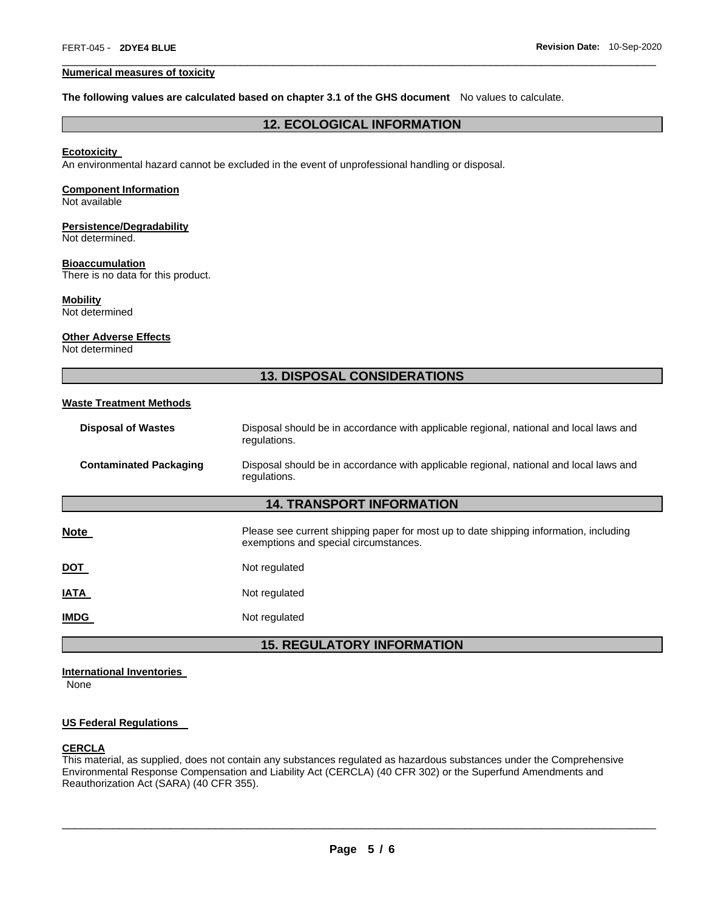#### **Numerical measures of toxicity**

#### **The following values are calculated based on chapter 3.1 of the GHS document** No values to calculate.

# **12. ECOLOGICAL INFORMATION**

\_\_\_\_\_\_\_\_\_\_\_\_\_\_\_\_\_\_\_\_\_\_\_\_\_\_\_\_\_\_\_\_\_\_\_\_\_\_\_\_\_\_\_\_\_\_\_\_\_\_\_\_\_\_\_\_\_\_\_\_\_\_\_\_\_\_\_\_\_\_\_\_\_\_\_\_\_\_\_\_\_\_\_\_\_\_\_\_\_\_\_\_\_

#### **Ecotoxicity**

An environmental hazard cannot be excluded in the event of unprofessional handling or disposal.

# **Component Information**

Not available

# **Persistence/Degradability**

Not determined.

#### **Bioaccumulation**

There is no data for this product.

# **Mobility**

Not determined

#### **Other Adverse Effects**

Not determined

# **13. DISPOSAL CONSIDERATIONS**

#### **Waste Treatment Methods**

| <b>Disposal of Wastes</b>        | Disposal should be in accordance with applicable regional, national and local laws and<br>regulations.                         |
|----------------------------------|--------------------------------------------------------------------------------------------------------------------------------|
| <b>Contaminated Packaging</b>    | Disposal should be in accordance with applicable regional, national and local laws and<br>regulations.                         |
| <b>14. TRANSPORT INFORMATION</b> |                                                                                                                                |
| Note                             | Please see current shipping paper for most up to date shipping information, including<br>exemptions and special circumstances. |
| <u>DOT</u>                       | Not regulated                                                                                                                  |
| <b>ATAL</b>                      | Not regulated                                                                                                                  |
| <b>IMDG</b>                      | Not regulated                                                                                                                  |
|                                  |                                                                                                                                |

# **15. REGULATORY INFORMATION**

# **International Inventories**

None

#### **US Federal Regulations**

#### **CERCLA**

This material, as supplied, does not contain any substances regulated as hazardous substances under the Comprehensive Environmental Response Compensation and Liability Act (CERCLA) (40 CFR 302) or the Superfund Amendments and Reauthorization Act (SARA) (40 CFR 355).